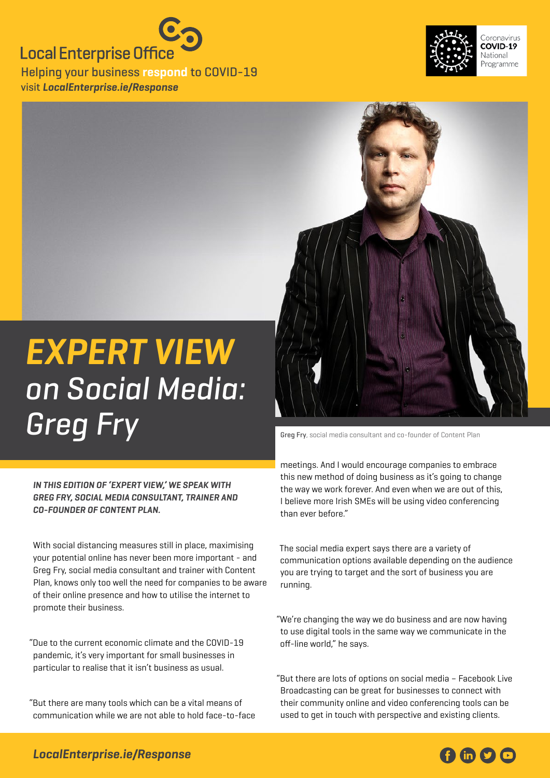### **Local Enterprise Office**

Helping your business **respond** to COVID-19 visit **[LocalEnterprise.ie/Response](http://LocalEnterprise.ie/Response)**





# **Expert View**  on Social Media: Greg Fry Social media consultant and co-founder of Content Plan

**In this edition of 'Expert View,' we speak with Greg Fry, social media consultant, trainer and co-founder of Content Plan.**

With social distancing measures still in place, maximising your potential online has never been more important - and Greg Fry, social media consultant and trainer with Content Plan, knows only too well the need for companies to be aware of their online presence and how to utilise the internet to promote their business.

"Due to the current economic climate and the COVID-19 pandemic, it's very important for small businesses in particular to realise that it isn't business as usual.

"But there are many tools which can be a vital means of communication while we are not able to hold face-to-face

meetings. And I would encourage companies to embrace this new method of doing business as it's going to change the way we work forever. And even when we are out of this, I believe more Irish SMEs will be using video conferencing than ever before."

The social media expert says there are a variety of communication options available depending on the audience you are trying to target and the sort of business you are running.

"We're changing the way we do business and are now having to use digital tools in the same way we communicate in the off-line world," he says.

"But there are lots of options on social media – Facebook Live Broadcasting can be great for businesses to connect with their community online and video conferencing tools can be used to get in touch with perspective and existing clients.